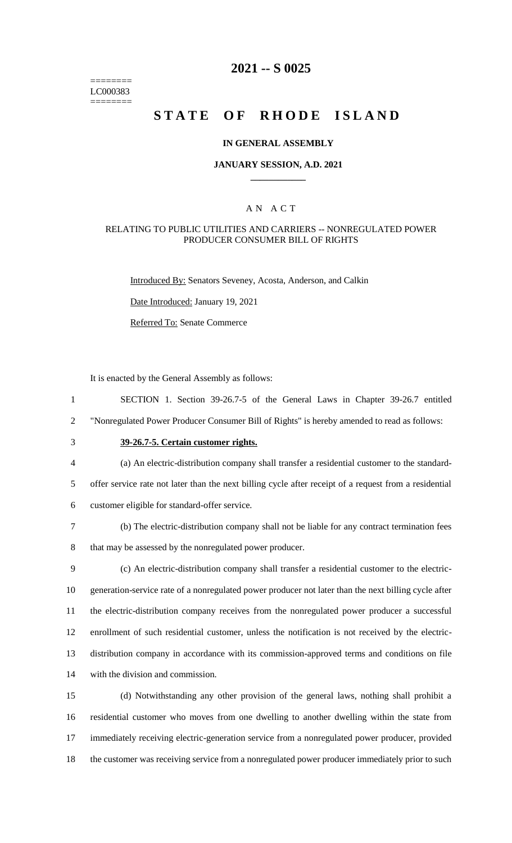======== LC000383 ========

# **2021 -- S 0025**

# **STATE OF RHODE ISLAND**

#### **IN GENERAL ASSEMBLY**

#### **JANUARY SESSION, A.D. 2021 \_\_\_\_\_\_\_\_\_\_\_\_**

### A N A C T

### RELATING TO PUBLIC UTILITIES AND CARRIERS -- NONREGULATED POWER PRODUCER CONSUMER BILL OF RIGHTS

Introduced By: Senators Seveney, Acosta, Anderson, and Calkin

Date Introduced: January 19, 2021

Referred To: Senate Commerce

It is enacted by the General Assembly as follows:

1 SECTION 1. Section 39-26.7-5 of the General Laws in Chapter 39-26.7 entitled

2 "Nonregulated Power Producer Consumer Bill of Rights" is hereby amended to read as follows:

# 3 **39-26.7-5. Certain customer rights.**

4 (a) An electric-distribution company shall transfer a residential customer to the standard-

5 offer service rate not later than the next billing cycle after receipt of a request from a residential

- 6 customer eligible for standard-offer service.
- 7 (b) The electric-distribution company shall not be liable for any contract termination fees

8 that may be assessed by the nonregulated power producer.

 (c) An electric-distribution company shall transfer a residential customer to the electric- generation-service rate of a nonregulated power producer not later than the next billing cycle after the electric-distribution company receives from the nonregulated power producer a successful enrollment of such residential customer, unless the notification is not received by the electric- distribution company in accordance with its commission-approved terms and conditions on file with the division and commission.

 (d) Notwithstanding any other provision of the general laws, nothing shall prohibit a residential customer who moves from one dwelling to another dwelling within the state from immediately receiving electric-generation service from a nonregulated power producer, provided the customer was receiving service from a nonregulated power producer immediately prior to such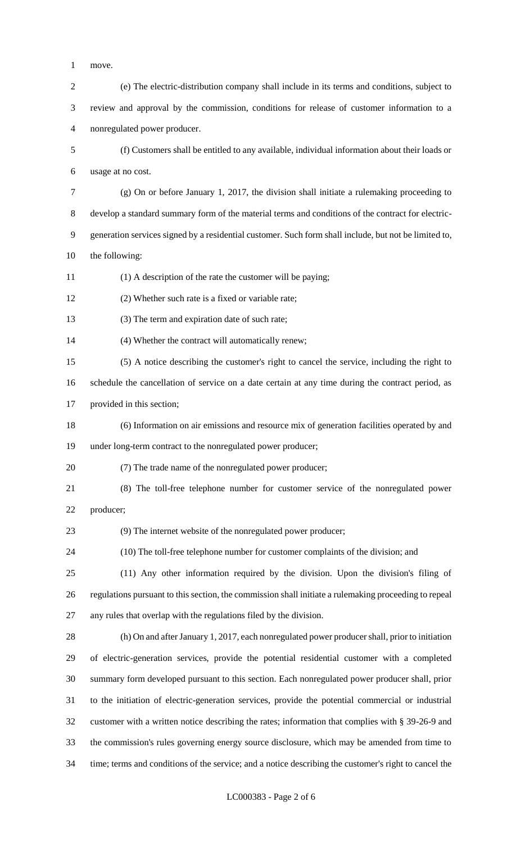- move.
- (e) The electric-distribution company shall include in its terms and conditions, subject to review and approval by the commission, conditions for release of customer information to a nonregulated power producer. (f) Customers shall be entitled to any available, individual information about their loads or usage at no cost.
- (g) On or before January 1, 2017, the division shall initiate a rulemaking proceeding to develop a standard summary form of the material terms and conditions of the contract for electric- generation services signed by a residential customer. Such form shall include, but not be limited to, the following:
- (1) A description of the rate the customer will be paying;
- (2) Whether such rate is a fixed or variable rate;
- 13 (3) The term and expiration date of such rate;
- (4) Whether the contract will automatically renew;
- (5) A notice describing the customer's right to cancel the service, including the right to
- schedule the cancellation of service on a date certain at any time during the contract period, as
- provided in this section;
- (6) Information on air emissions and resource mix of generation facilities operated by and under long-term contract to the nonregulated power producer;
- (7) The trade name of the nonregulated power producer;
- (8) The toll-free telephone number for customer service of the nonregulated power
- producer;

(9) The internet website of the nonregulated power producer;

- (10) The toll-free telephone number for customer complaints of the division; and
- (11) Any other information required by the division. Upon the division's filing of regulations pursuant to this section, the commission shall initiate a rulemaking proceeding to repeal any rules that overlap with the regulations filed by the division.
- (h) On and after January 1, 2017, each nonregulated power producer shall, prior to initiation of electric-generation services, provide the potential residential customer with a completed summary form developed pursuant to this section. Each nonregulated power producer shall, prior to the initiation of electric-generation services, provide the potential commercial or industrial customer with a written notice describing the rates; information that complies with § 39-26-9 and the commission's rules governing energy source disclosure, which may be amended from time to time; terms and conditions of the service; and a notice describing the customer's right to cancel the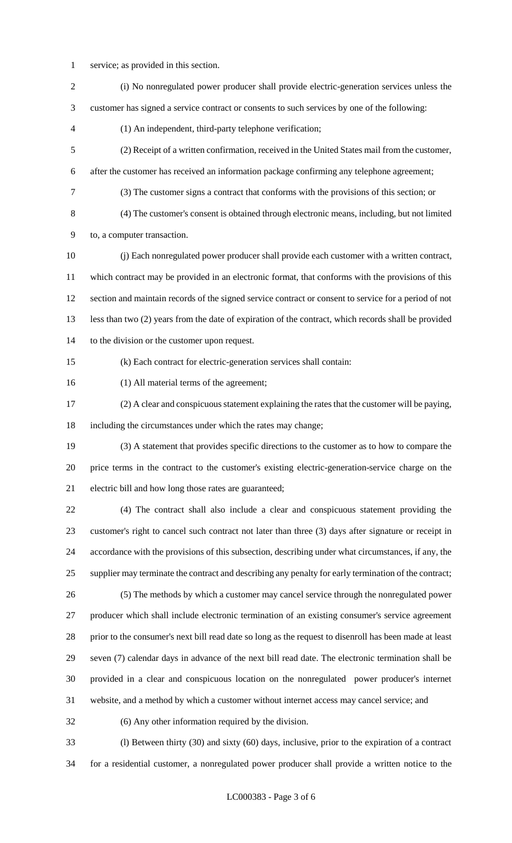- service; as provided in this section.
- (i) No nonregulated power producer shall provide electric-generation services unless the customer has signed a service contract or consents to such services by one of the following: (1) An independent, third-party telephone verification; (2) Receipt of a written confirmation, received in the United States mail from the customer, after the customer has received an information package confirming any telephone agreement; (3) The customer signs a contract that conforms with the provisions of this section; or (4) The customer's consent is obtained through electronic means, including, but not limited to, a computer transaction. (j) Each nonregulated power producer shall provide each customer with a written contract, which contract may be provided in an electronic format, that conforms with the provisions of this section and maintain records of the signed service contract or consent to service for a period of not less than two (2) years from the date of expiration of the contract, which records shall be provided to the division or the customer upon request. (k) Each contract for electric-generation services shall contain: (1) All material terms of the agreement; (2) A clear and conspicuous statement explaining the rates that the customer will be paying, including the circumstances under which the rates may change; (3) A statement that provides specific directions to the customer as to how to compare the price terms in the contract to the customer's existing electric-generation-service charge on the electric bill and how long those rates are guaranteed; (4) The contract shall also include a clear and conspicuous statement providing the customer's right to cancel such contract not later than three (3) days after signature or receipt in accordance with the provisions of this subsection, describing under what circumstances, if any, the supplier may terminate the contract and describing any penalty for early termination of the contract; (5) The methods by which a customer may cancel service through the nonregulated power producer which shall include electronic termination of an existing consumer's service agreement prior to the consumer's next bill read date so long as the request to disenroll has been made at least seven (7) calendar days in advance of the next bill read date. The electronic termination shall be provided in a clear and conspicuous location on the nonregulated power producer's internet website, and a method by which a customer without internet access may cancel service; and (6) Any other information required by the division. (l) Between thirty (30) and sixty (60) days, inclusive, prior to the expiration of a contract

for a residential customer, a nonregulated power producer shall provide a written notice to the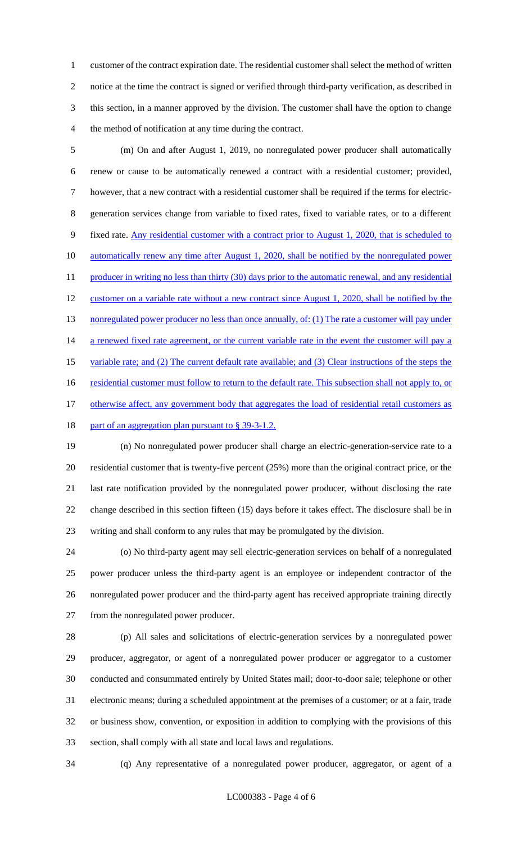customer of the contract expiration date. The residential customer shall select the method of written notice at the time the contract is signed or verified through third-party verification, as described in this section, in a manner approved by the division. The customer shall have the option to change the method of notification at any time during the contract.

 (m) On and after August 1, 2019, no nonregulated power producer shall automatically renew or cause to be automatically renewed a contract with a residential customer; provided, however, that a new contract with a residential customer shall be required if the terms for electric- generation services change from variable to fixed rates, fixed to variable rates, or to a different 9 fixed rate. Any residential customer with a contract prior to August 1, 2020, that is scheduled to 10 automatically renew any time after August 1, 2020, shall be notified by the nonregulated power 11 producer in writing no less than thirty (30) days prior to the automatic renewal, and any residential 12 customer on a variable rate without a new contract since August 1, 2020, shall be notified by the 13 nonregulated power producer no less than once annually, of: (1) The rate a customer will pay under 14 a renewed fixed rate agreement, or the current variable rate in the event the customer will pay a 15 variable rate; and (2) The current default rate available; and (3) Clear instructions of the steps the 16 residential customer must follow to return to the default rate. This subsection shall not apply to, or 17 otherwise affect, any government body that aggregates the load of residential retail customers as 18 part of an aggregation plan pursuant to § 39-3-1.2.

 (n) No nonregulated power producer shall charge an electric-generation-service rate to a residential customer that is twenty-five percent (25%) more than the original contract price, or the last rate notification provided by the nonregulated power producer, without disclosing the rate change described in this section fifteen (15) days before it takes effect. The disclosure shall be in writing and shall conform to any rules that may be promulgated by the division.

 (o) No third-party agent may sell electric-generation services on behalf of a nonregulated power producer unless the third-party agent is an employee or independent contractor of the nonregulated power producer and the third-party agent has received appropriate training directly from the nonregulated power producer.

 (p) All sales and solicitations of electric-generation services by a nonregulated power producer, aggregator, or agent of a nonregulated power producer or aggregator to a customer conducted and consummated entirely by United States mail; door-to-door sale; telephone or other electronic means; during a scheduled appointment at the premises of a customer; or at a fair, trade or business show, convention, or exposition in addition to complying with the provisions of this section, shall comply with all state and local laws and regulations.

(q) Any representative of a nonregulated power producer, aggregator, or agent of a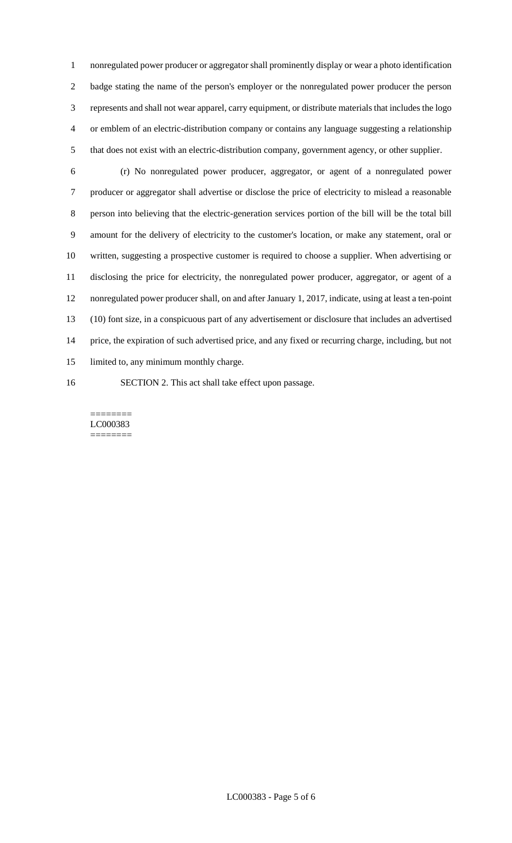nonregulated power producer or aggregator shall prominently display or wear a photo identification badge stating the name of the person's employer or the nonregulated power producer the person represents and shall not wear apparel, carry equipment, or distribute materials that includes the logo or emblem of an electric-distribution company or contains any language suggesting a relationship that does not exist with an electric-distribution company, government agency, or other supplier.

- (r) No nonregulated power producer, aggregator, or agent of a nonregulated power producer or aggregator shall advertise or disclose the price of electricity to mislead a reasonable person into believing that the electric-generation services portion of the bill will be the total bill amount for the delivery of electricity to the customer's location, or make any statement, oral or written, suggesting a prospective customer is required to choose a supplier. When advertising or disclosing the price for electricity, the nonregulated power producer, aggregator, or agent of a nonregulated power producer shall, on and after January 1, 2017, indicate, using at least a ten-point (10) font size, in a conspicuous part of any advertisement or disclosure that includes an advertised price, the expiration of such advertised price, and any fixed or recurring charge, including, but not limited to, any minimum monthly charge.
- SECTION 2. This act shall take effect upon passage.

======== LC000383 ========